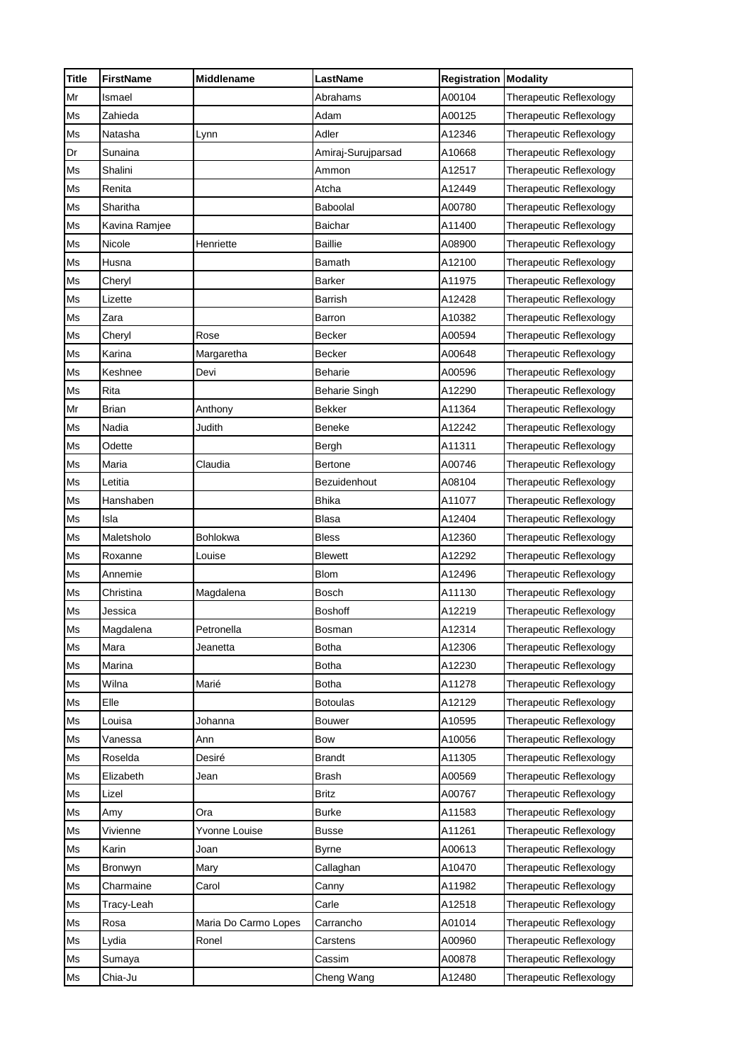| <b>Title</b> | <b>FirstName</b> | <b>Middlename</b>    | <b>LastName</b>    | <b>Registration Modality</b> |                                |
|--------------|------------------|----------------------|--------------------|------------------------------|--------------------------------|
| Mr           | Ismael           |                      | Abrahams           | A00104                       | Therapeutic Reflexology        |
| Ms           | Zahieda          |                      | Adam               | A00125                       | Therapeutic Reflexology        |
| Ms           | Natasha          | Lynn                 | Adler              | A12346                       | Therapeutic Reflexology        |
| Dr           | Sunaina          |                      | Amiraj-Surujparsad | A10668                       | Therapeutic Reflexology        |
| Ms           | Shalini          |                      | Ammon              | A12517                       | Therapeutic Reflexology        |
| Ms           | Renita           |                      | Atcha              | A12449                       | Therapeutic Reflexology        |
| Ms           | Sharitha         |                      | Baboolal           | A00780                       | Therapeutic Reflexology        |
| Ms           | Kavina Ramjee    |                      | Baichar            | A11400                       | Therapeutic Reflexology        |
| Ms           | Nicole           | Henriette            | <b>Baillie</b>     | A08900                       | Therapeutic Reflexology        |
| Ms           | Husna            |                      | Bamath             | A12100                       | Therapeutic Reflexology        |
| Ms           | Cheryl           |                      | Barker             | A11975                       | Therapeutic Reflexology        |
| Ms           | Lizette          |                      | Barrish            | A12428                       | Therapeutic Reflexology        |
| Ms           | Zara             |                      | Barron             | A10382                       | <b>Therapeutic Reflexology</b> |
| Ms           | Cheryl           | Rose                 | Becker             | A00594                       | Therapeutic Reflexology        |
| Ms           | Karina           | Margaretha           | Becker             | A00648                       | Therapeutic Reflexology        |
| Ms           | Keshnee          | Devi                 | Beharie            | A00596                       | Therapeutic Reflexology        |
| Ms           | Rita             |                      | Beharie Singh      | A12290                       | Therapeutic Reflexology        |
| Mr           | Brian            | Anthony              | Bekker             | A11364                       | Therapeutic Reflexology        |
| Ms           | Nadia            | Judith               | Beneke             | A12242                       | Therapeutic Reflexology        |
| Ms           | Odette           |                      | Bergh              | A11311                       | Therapeutic Reflexology        |
| Ms           | Maria            | Claudia              | Bertone            | A00746                       | Therapeutic Reflexology        |
| Ms           | Letitia          |                      | Bezuidenhout       | A08104                       | Therapeutic Reflexology        |
| Ms           | Hanshaben        |                      | <b>Bhika</b>       | A11077                       | Therapeutic Reflexology        |
| Ms           | Isla             |                      | Blasa              | A12404                       | Therapeutic Reflexology        |
| Ms           | Maletsholo       | Bohlokwa             | Bless              | A12360                       | Therapeutic Reflexology        |
| Ms           | Roxanne          | Louise               | <b>Blewett</b>     | A12292                       | Therapeutic Reflexology        |
| Ms           | Annemie          |                      | <b>Blom</b>        | A12496                       | Therapeutic Reflexology        |
| Ms           | Christina        | Magdalena            | Bosch              | A11130                       | Therapeutic Reflexology        |
| Ms           | Jessica          |                      | Boshoff            | A12219                       | Therapeutic Reflexology        |
| Ms           | Magdalena        | Petronella           | Bosman             | A12314                       | Therapeutic Reflexology        |
| Ms           | Mara             | Jeanetta             | <b>Botha</b>       | A12306                       | Therapeutic Reflexology        |
| Ms           | Marina           |                      | <b>Botha</b>       | A12230                       | Therapeutic Reflexology        |
| Ms           | Wilna            | Marié                | Botha              | A11278                       | Therapeutic Reflexology        |
| Ms           | Elle             |                      | <b>Botoulas</b>    | A12129                       | Therapeutic Reflexology        |
| Ms           | Louisa           | Johanna              | Bouwer             | A10595                       | Therapeutic Reflexology        |
| Ms           | Vanessa          | Ann                  | Bow                | A10056                       | Therapeutic Reflexology        |
| Ms           | Roselda          | Desiré               | <b>Brandt</b>      | A11305                       | Therapeutic Reflexology        |
| Ms           | Elizabeth        | Jean                 | <b>Brash</b>       | A00569                       | Therapeutic Reflexology        |
| Ms           | Lizel            |                      | <b>Britz</b>       | A00767                       | Therapeutic Reflexology        |
| Ms           | Amy              | Ora                  | Burke              | A11583                       | Therapeutic Reflexology        |
| Ms           | Vivienne         | Yvonne Louise        | <b>Busse</b>       | A11261                       | <b>Therapeutic Reflexology</b> |
| Ms           | Karin            | Joan                 | <b>Byrne</b>       | A00613                       | Therapeutic Reflexology        |
| Ms           | Bronwyn          | Mary                 | Callaghan          | A10470                       | Therapeutic Reflexology        |
| Ms           | Charmaine        | Carol                | Canny              | A11982                       | Therapeutic Reflexology        |
| Ms           | Tracy-Leah       |                      | Carle              | A12518                       | Therapeutic Reflexology        |
| Ms           | Rosa             | Maria Do Carmo Lopes | Carrancho          | A01014                       | Therapeutic Reflexology        |
| Ms           | Lydia            | Ronel                | Carstens           | A00960                       | Therapeutic Reflexology        |
| Ms           | Sumaya           |                      | Cassim             | A00878                       | Therapeutic Reflexology        |
| Ms           | Chia-Ju          |                      | Cheng Wang         | A12480                       | Therapeutic Reflexology        |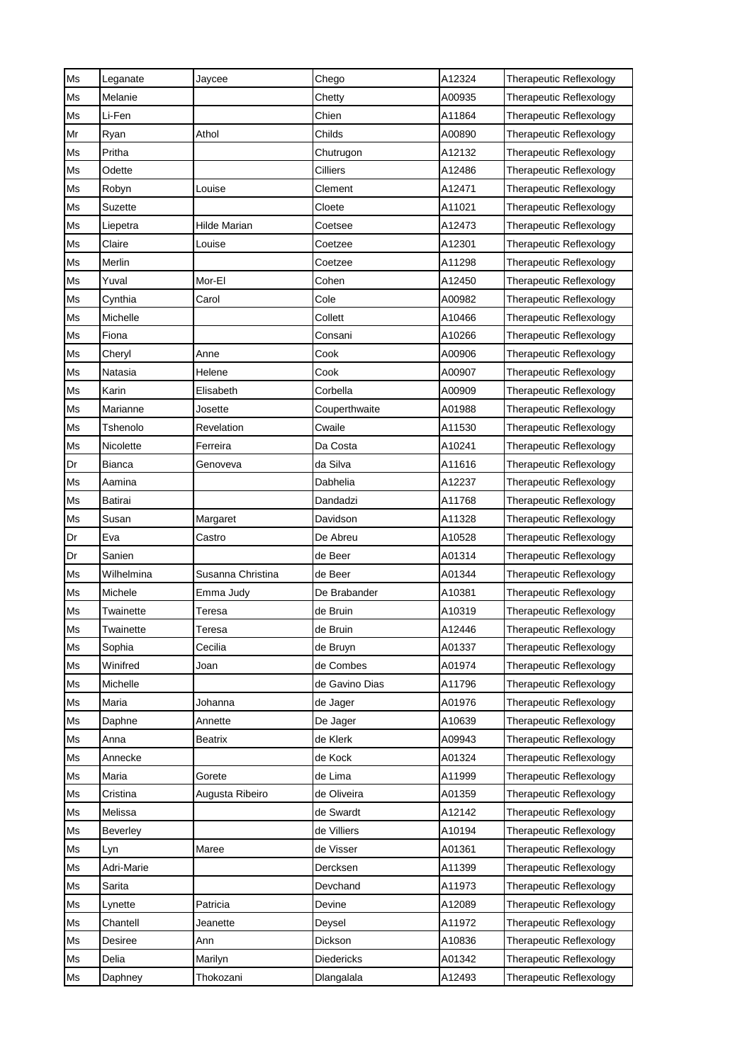| Ms | Leganate   | Jaycee            | Chego          | A12324 | Therapeutic Reflexology        |
|----|------------|-------------------|----------------|--------|--------------------------------|
| Ms | Melanie    |                   | Chetty         | A00935 | Therapeutic Reflexology        |
| Ms | Li-Fen     |                   | Chien          | A11864 | Therapeutic Reflexology        |
| Mr | Ryan       | Athol             | Childs         | A00890 | Therapeutic Reflexology        |
| Ms | Pritha     |                   | Chutrugon      | A12132 | Therapeutic Reflexology        |
| Ms | Odette     |                   | Cilliers       | A12486 | Therapeutic Reflexology        |
| Ms | Robyn      | Louise            | Clement        | A12471 | Therapeutic Reflexology        |
| Ms | Suzette    |                   | Cloete         | A11021 | Therapeutic Reflexology        |
| Ms | Liepetra   | Hilde Marian      | Coetsee        | A12473 | Therapeutic Reflexology        |
| Ms | Claire     | Louise            | Coetzee        | A12301 | Therapeutic Reflexology        |
| Ms | Merlin     |                   | Coetzee        | A11298 | Therapeutic Reflexology        |
| Ms | Yuval      | Mor-El            | Cohen          | A12450 | Therapeutic Reflexology        |
| Ms | Cynthia    | Carol             | Cole           | A00982 | Therapeutic Reflexology        |
| Ms | Michelle   |                   | Collett        | A10466 | Therapeutic Reflexology        |
| Ms | Fiona      |                   | Consani        | A10266 | Therapeutic Reflexology        |
| Ms | Cheryl     | Anne              | Cook           | A00906 | Therapeutic Reflexology        |
| Ms | Natasia    | Helene            | Cook           | A00907 | <b>Therapeutic Reflexology</b> |
| Ms | Karin      | Elisabeth         | Corbella       | A00909 | Therapeutic Reflexology        |
| Ms | Marianne   | Josette           | Couperthwaite  | A01988 | Therapeutic Reflexology        |
| Ms | Tshenolo   | Revelation        | Cwaile         | A11530 | Therapeutic Reflexology        |
| Ms | Nicolette  | Ferreira          | Da Costa       | A10241 | Therapeutic Reflexology        |
| Dr | Bianca     | Genoveva          | da Silva       | A11616 | Therapeutic Reflexology        |
| Ms | Aamina     |                   | Dabhelia       | A12237 | Therapeutic Reflexology        |
| Ms | Batirai    |                   | Dandadzi       | A11768 | Therapeutic Reflexology        |
| Ms | Susan      | Margaret          | Davidson       | A11328 | Therapeutic Reflexology        |
| Dr | Eva        | Castro            | De Abreu       | A10528 | Therapeutic Reflexology        |
| Dr | Sanien     |                   | de Beer        | A01314 | Therapeutic Reflexology        |
| Ms | Wilhelmina | Susanna Christina | de Beer        | A01344 | Therapeutic Reflexology        |
| Ms | Michele    | Emma Judy         | De Brabander   | A10381 | Therapeutic Reflexology        |
| Ms | Twainette  | Teresa            | de Bruin       | A10319 | Therapeutic Reflexology        |
| Ms | Twainette  | Teresa            | de Bruin       | A12446 | <b>Therapeutic Reflexology</b> |
| Ms | Sophia     | Cecilia           | de Bruyn       | A01337 | <b>Therapeutic Reflexology</b> |
| Ms | Winifred   | Joan              | de Combes      | A01974 | Therapeutic Reflexology        |
| Ms | Michelle   |                   | de Gavino Dias | A11796 | Therapeutic Reflexology        |
| Ms | Maria      | Johanna           | de Jager       | A01976 | Therapeutic Reflexology        |
| Ms | Daphne     | Annette           | De Jager       | A10639 | Therapeutic Reflexology        |
| Ms | Anna       | <b>Beatrix</b>    | de Klerk       | A09943 | Therapeutic Reflexology        |
| Ms | Annecke    |                   | de Kock        | A01324 | Therapeutic Reflexology        |
| Ms | Maria      | Gorete            | de Lima        | A11999 | Therapeutic Reflexology        |
| Ms | Cristina   | Augusta Ribeiro   | de Oliveira    | A01359 | Therapeutic Reflexology        |
| Ms | Melissa    |                   | de Swardt      | A12142 | Therapeutic Reflexology        |
| Ms | Beverley   |                   | de Villiers    | A10194 | Therapeutic Reflexology        |
| Ms | Lyn        | Maree             | de Visser      | A01361 | Therapeutic Reflexology        |
| Ms | Adri-Marie |                   | Dercksen       | A11399 | Therapeutic Reflexology        |
| Ms | Sarita     |                   | Devchand       | A11973 | Therapeutic Reflexology        |
| Ms | Lynette    | Patricia          | Devine         | A12089 | Therapeutic Reflexology        |
| Ms | Chantell   | Jeanette          | Deysel         | A11972 | Therapeutic Reflexology        |
| Ms | Desiree    | Ann               | Dickson        | A10836 | Therapeutic Reflexology        |
| Ms | Delia      | Marilyn           | Diedericks     | A01342 | Therapeutic Reflexology        |
| Ms | Daphney    | Thokozani         | Dlangalala     | A12493 | Therapeutic Reflexology        |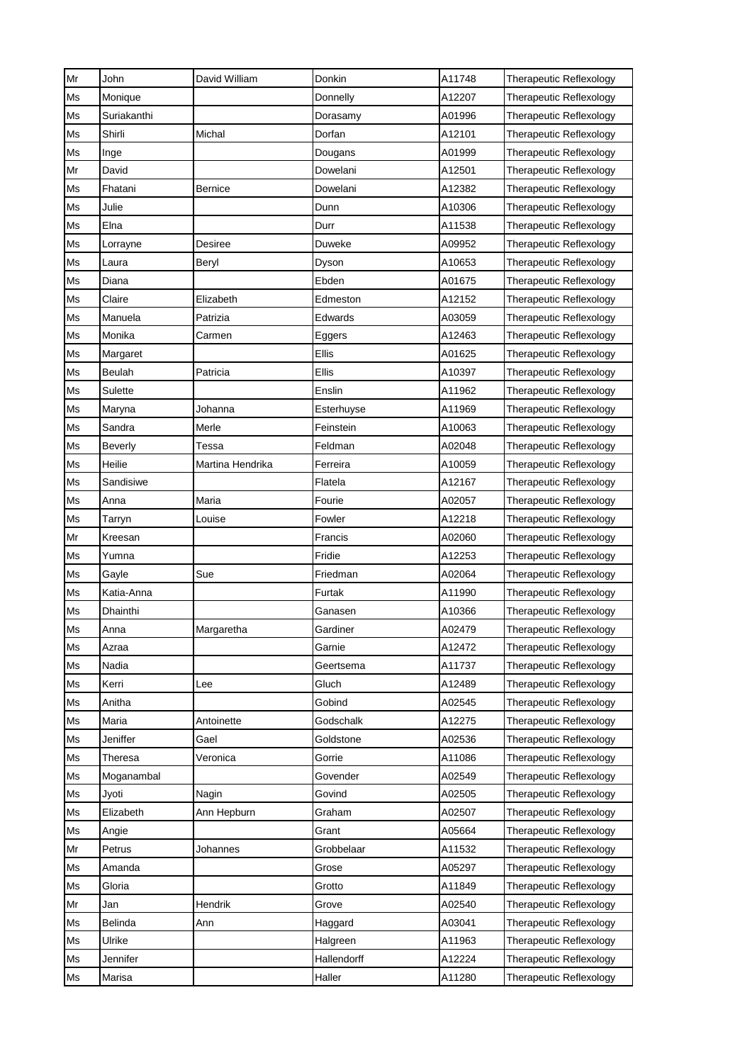| Mr | John           | David William    | Donkin      | A11748 | Therapeutic Reflexology        |
|----|----------------|------------------|-------------|--------|--------------------------------|
| Ms | Monique        |                  | Donnelly    | A12207 | Therapeutic Reflexology        |
| Ms | Suriakanthi    |                  | Dorasamy    | A01996 | <b>Therapeutic Reflexology</b> |
| Ms | Shirli         | Michal           | Dorfan      | A12101 | Therapeutic Reflexology        |
| Ms | Inge           |                  | Dougans     | A01999 | Therapeutic Reflexology        |
| Mr | David          |                  | Dowelani    | A12501 | Therapeutic Reflexology        |
| Ms | Fhatani        | <b>Bernice</b>   | Dowelani    | A12382 | Therapeutic Reflexology        |
| Ms | Julie          |                  | Dunn        | A10306 | Therapeutic Reflexology        |
| Ms | Elna           |                  | Durr        | A11538 | <b>Therapeutic Reflexology</b> |
| Ms | Lorrayne       | Desiree          | Duweke      | A09952 | Therapeutic Reflexology        |
| Ms | Laura          | Beryl            | Dyson       | A10653 | Therapeutic Reflexology        |
| Ms | Diana          |                  | Ebden       | A01675 | Therapeutic Reflexology        |
| Ms | Claire         | Elizabeth        | Edmeston    | A12152 | Therapeutic Reflexology        |
| Ms | Manuela        | Patrizia         | Edwards     | A03059 | Therapeutic Reflexology        |
| Ms | Monika         | Carmen           | Eggers      | A12463 | Therapeutic Reflexology        |
| Ms | Margaret       |                  | Ellis       | A01625 | Therapeutic Reflexology        |
| Ms | Beulah         | Patricia         | Ellis       | A10397 | <b>Therapeutic Reflexology</b> |
| Ms | Sulette        |                  | Enslin      | A11962 | Therapeutic Reflexology        |
| Ms | Maryna         | Johanna          | Esterhuyse  | A11969 | Therapeutic Reflexology        |
| Ms | Sandra         | Merle            | Feinstein   | A10063 | Therapeutic Reflexology        |
| Ms | <b>Beverly</b> | Tessa            | Feldman     | A02048 | Therapeutic Reflexology        |
| Ms | Heilie         | Martina Hendrika | Ferreira    | A10059 | Therapeutic Reflexology        |
| Ms | Sandisiwe      |                  | Flatela     | A12167 | Therapeutic Reflexology        |
| Ms | Anna           | Maria            | Fourie      | A02057 | Therapeutic Reflexology        |
| Ms | Tarryn         | Louise           | Fowler      | A12218 | Therapeutic Reflexology        |
| Mr | Kreesan        |                  | Francis     | A02060 | Therapeutic Reflexology        |
| Ms | Yumna          |                  | Fridie      | A12253 | Therapeutic Reflexology        |
| Ms | Gayle          | Sue              | Friedman    | A02064 | Therapeutic Reflexology        |
| Ms | Katia-Anna     |                  | Furtak      | A11990 | Therapeutic Reflexology        |
| Ms | Dhainthi       |                  | Ganasen     | A10366 | Therapeutic Reflexology        |
| Ms | Anna           | Margaretha       | Gardiner    | A02479 | Therapeutic Reflexology        |
| Ms | Azraa          |                  | Garnie      | A12472 | Therapeutic Reflexology        |
| Ms | Nadia          |                  | Geertsema   | A11737 | Therapeutic Reflexology        |
| Ms | Kerri          | Lee              | Gluch       | A12489 | <b>Therapeutic Reflexology</b> |
| Ms | Anitha         |                  | Gobind      | A02545 | Therapeutic Reflexology        |
| Ms | Maria          | Antoinette       | Godschalk   | A12275 | Therapeutic Reflexology        |
| Ms | Jeniffer       | Gael             | Goldstone   | A02536 | Therapeutic Reflexology        |
| Ms | Theresa        | Veronica         | Gorrie      | A11086 | Therapeutic Reflexology        |
| Ms | Moganambal     |                  | Govender    | A02549 | Therapeutic Reflexology        |
| Ms | Jyoti          | Nagin            | Govind      | A02505 | Therapeutic Reflexology        |
| Ms | Elizabeth      | Ann Hepburn      | Graham      | A02507 | Therapeutic Reflexology        |
| Ms | Angie          |                  | Grant       | A05664 | Therapeutic Reflexology        |
| Mr | Petrus         | Johannes         | Grobbelaar  | A11532 | Therapeutic Reflexology        |
| Ms | Amanda         |                  | Grose       | A05297 | Therapeutic Reflexology        |
| Ms | Gloria         |                  | Grotto      | A11849 | Therapeutic Reflexology        |
| Mr | Jan            | Hendrik          | Grove       | A02540 | Therapeutic Reflexology        |
| Ms | Belinda        | Ann              | Haggard     | A03041 | Therapeutic Reflexology        |
| Ms | Ulrike         |                  | Halgreen    | A11963 | Therapeutic Reflexology        |
| Ms | Jennifer       |                  | Hallendorff | A12224 | Therapeutic Reflexology        |
| Ms | Marisa         |                  | Haller      | A11280 | Therapeutic Reflexology        |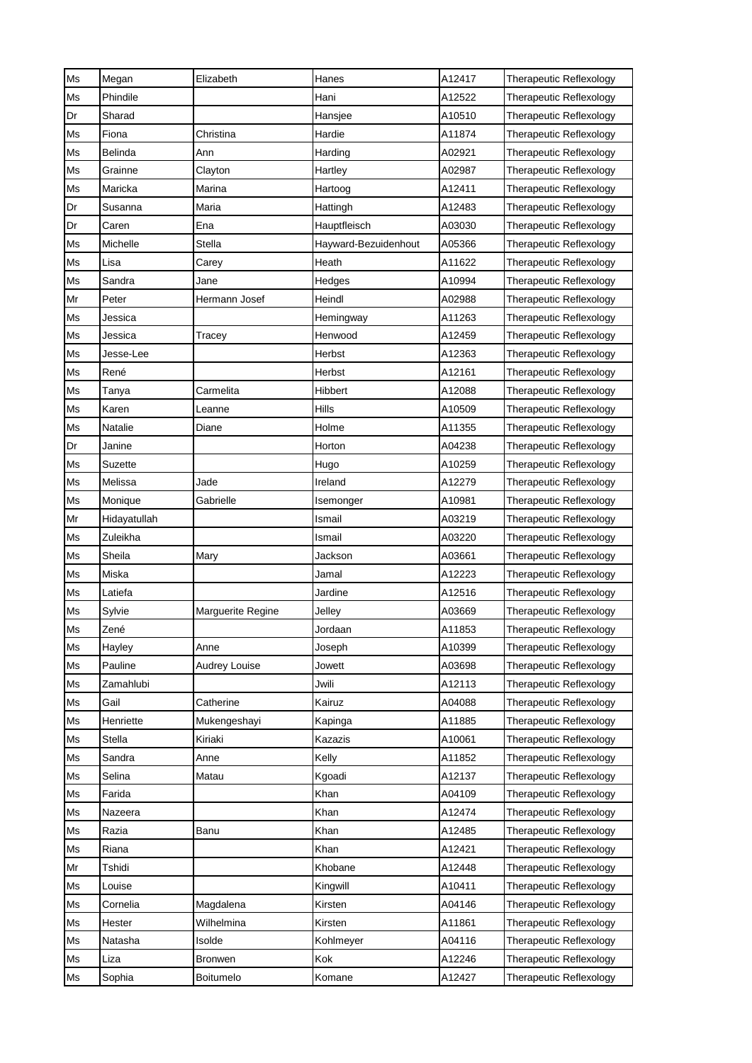| Ms | Megan        | Elizabeth         | Hanes                | A12417 | Therapeutic Reflexology        |
|----|--------------|-------------------|----------------------|--------|--------------------------------|
| Ms | Phindile     |                   | Hani                 | A12522 | Therapeutic Reflexology        |
| Dr | Sharad       |                   | Hansjee              | A10510 | Therapeutic Reflexology        |
| Ms | Fiona        | Christina         | Hardie               | A11874 | Therapeutic Reflexology        |
| Ms | Belinda      | Ann               | Harding              | A02921 | Therapeutic Reflexology        |
| Ms | Grainne      | Clayton           | Hartley              | A02987 | Therapeutic Reflexology        |
| Ms | Maricka      | Marina            | Hartoog              | A12411 | Therapeutic Reflexology        |
| Dr | Susanna      | Maria             | Hattingh             | A12483 | Therapeutic Reflexology        |
| Dr | Caren        | Ena               | Hauptfleisch         | A03030 | Therapeutic Reflexology        |
| Ms | Michelle     | Stella            | Hayward-Bezuidenhout | A05366 | Therapeutic Reflexology        |
| Ms | Lisa         | Carey             | Heath                | A11622 | Therapeutic Reflexology        |
| Ms | Sandra       | Jane              | Hedges               | A10994 | Therapeutic Reflexology        |
| Mr | Peter        | Hermann Josef     | Heindl               | A02988 | Therapeutic Reflexology        |
| Ms | Jessica      |                   | Hemingway            | A11263 | Therapeutic Reflexology        |
| Ms | Jessica      | Tracey            | Henwood              | A12459 | Therapeutic Reflexology        |
| Ms | Jesse-Lee    |                   | Herbst               | A12363 | Therapeutic Reflexology        |
| Ms | René         |                   | Herbst               | A12161 | Therapeutic Reflexology        |
| Ms | Tanya        | Carmelita         | Hibbert              | A12088 | Therapeutic Reflexology        |
| Ms | Karen        | Leanne            | Hills                | A10509 | Therapeutic Reflexology        |
| Ms | Natalie      | Diane             | Holme                | A11355 | Therapeutic Reflexology        |
| Dr | Janine       |                   | Horton               | A04238 | Therapeutic Reflexology        |
| Ms | Suzette      |                   | Hugo                 | A10259 | Therapeutic Reflexology        |
| Ms | Melissa      | Jade              | Ireland              | A12279 | Therapeutic Reflexology        |
| Ms | Monique      | Gabrielle         | Isemonger            | A10981 | Therapeutic Reflexology        |
| Mr | Hidayatullah |                   | Ismail               | A03219 | Therapeutic Reflexology        |
| Ms | Zuleikha     |                   | Ismail               | A03220 | Therapeutic Reflexology        |
| Ms | Sheila       | Mary              | Jackson              | A03661 | Therapeutic Reflexology        |
| Ms | Miska        |                   | Jamal                | A12223 | Therapeutic Reflexology        |
| Ms | Latiefa      |                   | Jardine              | A12516 | Therapeutic Reflexology        |
| Ms | Sylvie       | Marguerite Regine | Jelley               | A03669 | Therapeutic Reflexology        |
| Ms | Zené         |                   | Jordaan              | A11853 | Therapeutic Reflexology        |
| Ms | Hayley       | Anne              | Joseph               | A10399 | Therapeutic Reflexology        |
| Ms | Pauline      | Audrey Louise     | Jowett               | A03698 | <b>Therapeutic Reflexology</b> |
| Ms | Zamahlubi    |                   | Jwili                | A12113 | Therapeutic Reflexology        |
| Ms | Gail         | Catherine         | Kairuz               | A04088 | Therapeutic Reflexology        |
| Ms | Henriette    | Mukengeshayi      | Kapinga              | A11885 | Therapeutic Reflexology        |
| Ms | Stella       | Kiriaki           | Kazazis              | A10061 | Therapeutic Reflexology        |
| Ms | Sandra       | Anne              | Kelly                | A11852 | <b>Therapeutic Reflexology</b> |
| Ms | Selina       | Matau             | Kgoadi               | A12137 | Therapeutic Reflexology        |
| Ms | Farida       |                   | Khan                 | A04109 | <b>Therapeutic Reflexology</b> |
| Ms | Nazeera      |                   | Khan                 | A12474 | Therapeutic Reflexology        |
| Ms | Razia        | Banu              | Khan                 | A12485 | Therapeutic Reflexology        |
| Ms | Riana        |                   | Khan                 | A12421 | Therapeutic Reflexology        |
| Mr | Tshidi       |                   | Khobane              | A12448 | Therapeutic Reflexology        |
| Ms | Louise       |                   | Kingwill             | A10411 | Therapeutic Reflexology        |
| Ms | Cornelia     | Magdalena         | Kirsten              | A04146 | <b>Therapeutic Reflexology</b> |
| Ms | Hester       | Wilhelmina        | Kirsten              | A11861 | Therapeutic Reflexology        |
| Ms | Natasha      | Isolde            | Kohlmeyer            | A04116 | Therapeutic Reflexology        |
| Ms | Liza         | <b>Bronwen</b>    | Kok                  | A12246 | Therapeutic Reflexology        |
| Ms | Sophia       | Boitumelo         | Komane               | A12427 | Therapeutic Reflexology        |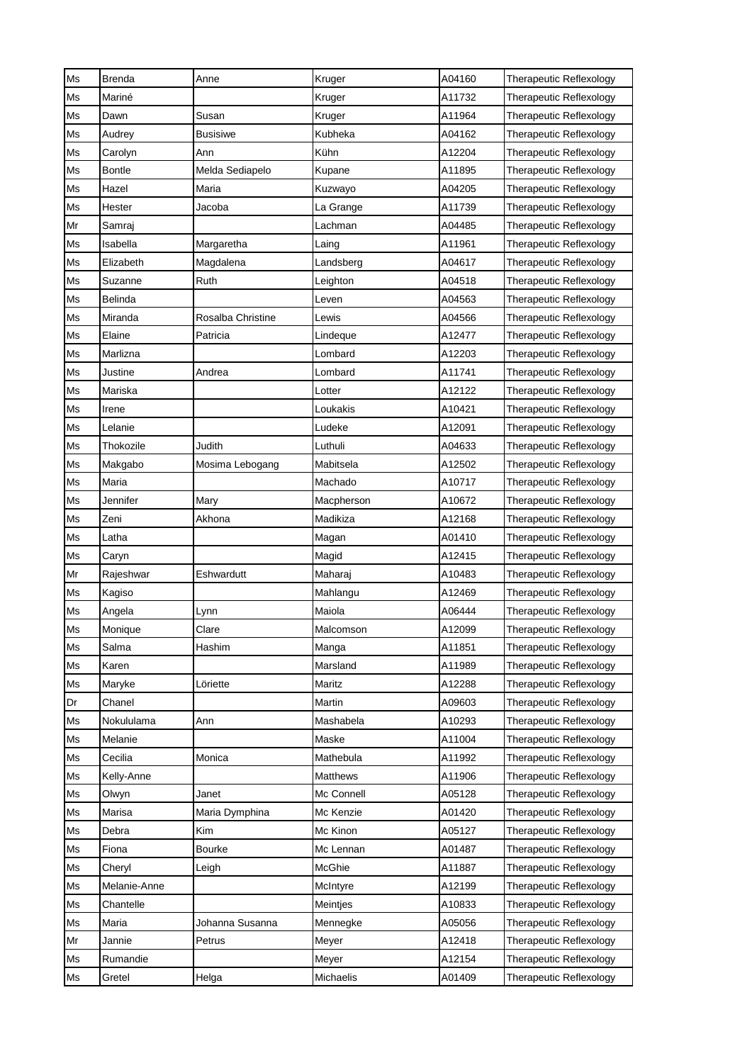| Ms | <b>Brenda</b> | Anne              | Kruger          | A04160 | Therapeutic Reflexology        |
|----|---------------|-------------------|-----------------|--------|--------------------------------|
| Ms | Mariné        |                   | Kruger          | A11732 | Therapeutic Reflexology        |
| Ms | Dawn          | Susan             | Kruger          | A11964 | Therapeutic Reflexology        |
| Ms | Audrey        | <b>Busisiwe</b>   | Kubheka         | A04162 | Therapeutic Reflexology        |
| Ms | Carolyn       | Ann               | Kühn            | A12204 | Therapeutic Reflexology        |
| Ms | <b>Bontle</b> | Melda Sediapelo   | Kupane          | A11895 | Therapeutic Reflexology        |
| Ms | Hazel         | Maria             | Kuzwayo         | A04205 | Therapeutic Reflexology        |
| Ms | Hester        | Jacoba            | La Grange       | A11739 | Therapeutic Reflexology        |
| Mr | Samraj        |                   | Lachman         | A04485 | Therapeutic Reflexology        |
| Ms | Isabella      | Margaretha        | Laing           | A11961 | Therapeutic Reflexology        |
| Ms | Elizabeth     | Magdalena         | Landsberg       | A04617 | Therapeutic Reflexology        |
| Ms | Suzanne       | Ruth              | Leighton        | A04518 | Therapeutic Reflexology        |
| Ms | Belinda       |                   | Leven           | A04563 | Therapeutic Reflexology        |
| Ms | Miranda       | Rosalba Christine | Lewis           | A04566 | Therapeutic Reflexology        |
| Ms | Elaine        | Patricia          | Lindeque        | A12477 | Therapeutic Reflexology        |
| Ms | Marlizna      |                   | Lombard         | A12203 | Therapeutic Reflexology        |
| Ms | Justine       | Andrea            | Lombard         | A11741 | Therapeutic Reflexology        |
| Ms | Mariska       |                   | Lotter          | A12122 | Therapeutic Reflexology        |
| Ms | Irene         |                   | Loukakis        | A10421 | Therapeutic Reflexology        |
| Ms | Lelanie       |                   | Ludeke          | A12091 | Therapeutic Reflexology        |
| Ms | Thokozile     | Judith            | Luthuli         | A04633 | Therapeutic Reflexology        |
| Ms | Makgabo       | Mosima Lebogang   | Mabitsela       | A12502 | Therapeutic Reflexology        |
| Ms | Maria         |                   | Machado         | A10717 | Therapeutic Reflexology        |
| Ms | Jennifer      | Mary              | Macpherson      | A10672 | Therapeutic Reflexology        |
| Ms | Zeni          | Akhona            | Madikiza        | A12168 | Therapeutic Reflexology        |
| Ms | Latha         |                   | Magan           | A01410 | Therapeutic Reflexology        |
| Ms | Caryn         |                   | Magid           | A12415 | Therapeutic Reflexology        |
| Mr | Rajeshwar     | Eshwardutt        | Maharaj         | A10483 | Therapeutic Reflexology        |
| Ms | Kagiso        |                   | Mahlangu        | A12469 | <b>Therapeutic Reflexology</b> |
| Ms | Angela        | Lynn              | Maiola          | A06444 | Therapeutic Reflexology        |
| Ms | Monique       | Clare             | Malcomson       | A12099 | Therapeutic Reflexology        |
| Ms | Salma         | Hashim            | Manga           | A11851 | Therapeutic Reflexology        |
| Ms | Karen         |                   | Marsland        | A11989 | <b>Therapeutic Reflexology</b> |
| Ms | Maryke        | Löriette          | Maritz          | A12288 | Therapeutic Reflexology        |
| Dr | Chanel        |                   | Martin          | A09603 | Therapeutic Reflexology        |
| Ms | Nokululama    | Ann               | Mashabela       | A10293 | Therapeutic Reflexology        |
| Ms | Melanie       |                   | Maske           | A11004 | Therapeutic Reflexology        |
| Ms | Cecilia       | Monica            | Mathebula       | A11992 | <b>Therapeutic Reflexology</b> |
| Ms | Kelly-Anne    |                   | <b>Matthews</b> | A11906 | Therapeutic Reflexology        |
| Ms | Olwyn         | Janet             | Mc Connell      | A05128 | Therapeutic Reflexology        |
| Ms | Marisa        | Maria Dymphina    | Mc Kenzie       | A01420 | Therapeutic Reflexology        |
| Ms | Debra         | Kim               | Mc Kinon        | A05127 | Therapeutic Reflexology        |
| Ms | Fiona         | Bourke            | Mc Lennan       | A01487 | Therapeutic Reflexology        |
| Ms | Cheryl        | Leigh             | McGhie          | A11887 | Therapeutic Reflexology        |
| Ms | Melanie-Anne  |                   | McIntyre        | A12199 | Therapeutic Reflexology        |
| Ms | Chantelle     |                   | Meintjes        | A10833 | <b>Therapeutic Reflexology</b> |
| Ms | Maria         | Johanna Susanna   | Mennegke        | A05056 | Therapeutic Reflexology        |
| Mr | Jannie        | Petrus            | Meyer           | A12418 | Therapeutic Reflexology        |
| Ms | Rumandie      |                   | Meyer           | A12154 | Therapeutic Reflexology        |
| Ms | Gretel        | Helga             | Michaelis       | A01409 | Therapeutic Reflexology        |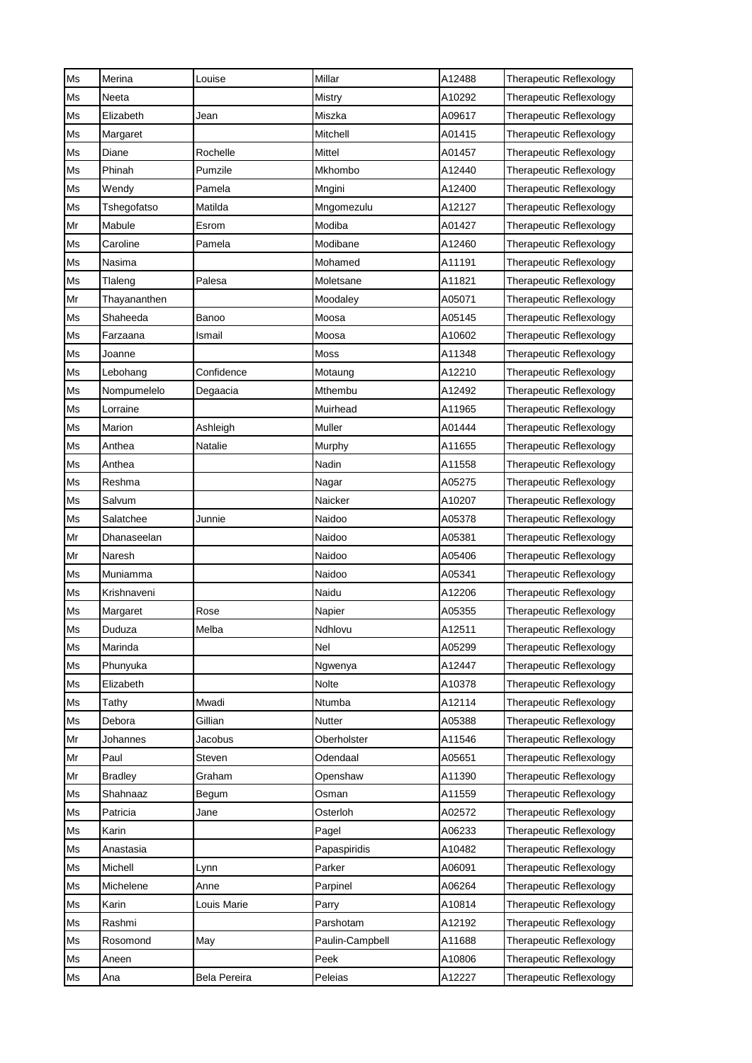| Ms       | Merina               | Louise       | Millar                 | A12488           | Therapeutic Reflexology                            |
|----------|----------------------|--------------|------------------------|------------------|----------------------------------------------------|
| Ms       | Neeta                |              | Mistry                 | A10292           | Therapeutic Reflexology                            |
| Ms       | Elizabeth            | Jean         | Miszka                 | A09617           | Therapeutic Reflexology                            |
| Ms       | Margaret             |              | Mitchell               | A01415           | Therapeutic Reflexology                            |
| Ms       | Diane                | Rochelle     | Mittel                 | A01457           | Therapeutic Reflexology                            |
| Ms       | Phinah               | Pumzile      | Mkhombo                | A12440           | Therapeutic Reflexology                            |
| Ms       | Wendy                | Pamela       | Mngini                 | A12400           | Therapeutic Reflexology                            |
| Ms       | Tshegofatso          | Matilda      | Mngomezulu             | A12127           | Therapeutic Reflexology                            |
| Mr       | Mabule               | Esrom        | Modiba                 | A01427           | Therapeutic Reflexology                            |
| Ms       | Caroline             | Pamela       | Modibane               | A12460           | Therapeutic Reflexology                            |
| Ms       | Nasima               |              | Mohamed                | A11191           | Therapeutic Reflexology                            |
| Ms       | Tlaleng              | Palesa       | Moletsane              | A11821           | Therapeutic Reflexology                            |
| Mr       | Thayananthen         |              | Moodaley               | A05071           | Therapeutic Reflexology                            |
| Ms       | Shaheeda             | Banoo        | Moosa                  | A05145           | Therapeutic Reflexology                            |
| Ms       | Farzaana             | Ismail       | Moosa                  | A10602           | Therapeutic Reflexology                            |
| Ms       | Joanne               |              | Moss                   | A11348           | Therapeutic Reflexology                            |
| Ms       | Lebohang             | Confidence   | Motaung                | A12210           | Therapeutic Reflexology                            |
| Ms       | Nompumelelo          | Degaacia     | Mthembu                | A12492           | Therapeutic Reflexology                            |
| Ms       | Lorraine             |              | Muirhead               | A11965           | Therapeutic Reflexology                            |
| Ms       | Marion               | Ashleigh     | Muller                 | A01444           | Therapeutic Reflexology                            |
| Ms       | Anthea               | Natalie      | Murphy                 | A11655           | Therapeutic Reflexology                            |
| Ms       | Anthea               |              | Nadin                  | A11558           | Therapeutic Reflexology                            |
| Ms       | Reshma               |              | Nagar                  | A05275           | Therapeutic Reflexology                            |
| Ms       | Salvum               |              | Naicker                | A10207           | Therapeutic Reflexology                            |
| Ms       | Salatchee            | Junnie       | Naidoo                 | A05378           | Therapeutic Reflexology                            |
| Mr       | Dhanaseelan          |              | Naidoo                 | A05381           | Therapeutic Reflexology                            |
| Mr       | Naresh               |              | Naidoo                 | A05406           | Therapeutic Reflexology                            |
| Ms       | Muniamma             |              | Naidoo                 | A05341           | Therapeutic Reflexology                            |
| Ms       | Krishnaveni          |              | Naidu                  | A12206           | <b>Therapeutic Reflexology</b>                     |
| Ms       | Margaret             | Rose         | Napier                 | A05355           | Therapeutic Reflexology                            |
| Ms       | Duduza               | Melba        | Ndhlovu                | A12511           | Therapeutic Reflexology                            |
| Ms       | Marinda              |              | Nel                    | A05299           | <b>Therapeutic Reflexology</b>                     |
| Ms       | Phunyuka             |              | Ngwenya                | A12447           | <b>Therapeutic Reflexology</b>                     |
| Ms       | Elizabeth            |              | Nolte                  | A10378           | Therapeutic Reflexology                            |
| Ms       | Tathy                | Mwadi        | Ntumba                 | A12114           | Therapeutic Reflexology                            |
| Ms       | Debora               | Gillian      | Nutter                 | A05388           | Therapeutic Reflexology                            |
| Mr       | Johannes             | Jacobus      | Oberholster            | A11546           | Therapeutic Reflexology                            |
| Mr       | Paul                 | Steven       | Odendaal               | A05651           | <b>Therapeutic Reflexology</b>                     |
| Mr       | <b>Bradley</b>       | Graham       | Openshaw               | A11390           | Therapeutic Reflexology                            |
| Ms       | Shahnaaz             | Begum        | Osman                  | A11559           | Therapeutic Reflexology                            |
| Ms       | Patricia             | Jane         | Osterloh               | A02572           | Therapeutic Reflexology                            |
| Ms       | Karin                |              | Pagel                  | A06233           | Therapeutic Reflexology                            |
| Ms       | Anastasia<br>Michell |              | Papaspiridis<br>Parker | A10482           | Therapeutic Reflexology                            |
| Ms<br>Ms | Michelene            | Lynn<br>Anne | Parpinel               | A06091<br>A06264 | Therapeutic Reflexology                            |
| Ms       | Karin                | Louis Marie  |                        | A10814           | Therapeutic Reflexology                            |
| Ms       | Rashmi               |              | Parry<br>Parshotam     | A12192           | Therapeutic Reflexology<br>Therapeutic Reflexology |
| Ms       | Rosomond             | May          | Paulin-Campbell        | A11688           | Therapeutic Reflexology                            |
| Ms       | Aneen                |              | Peek                   | A10806           | Therapeutic Reflexology                            |
| Ms       | Ana                  | Bela Pereira | Peleias                | A12227           | Therapeutic Reflexology                            |
|          |                      |              |                        |                  |                                                    |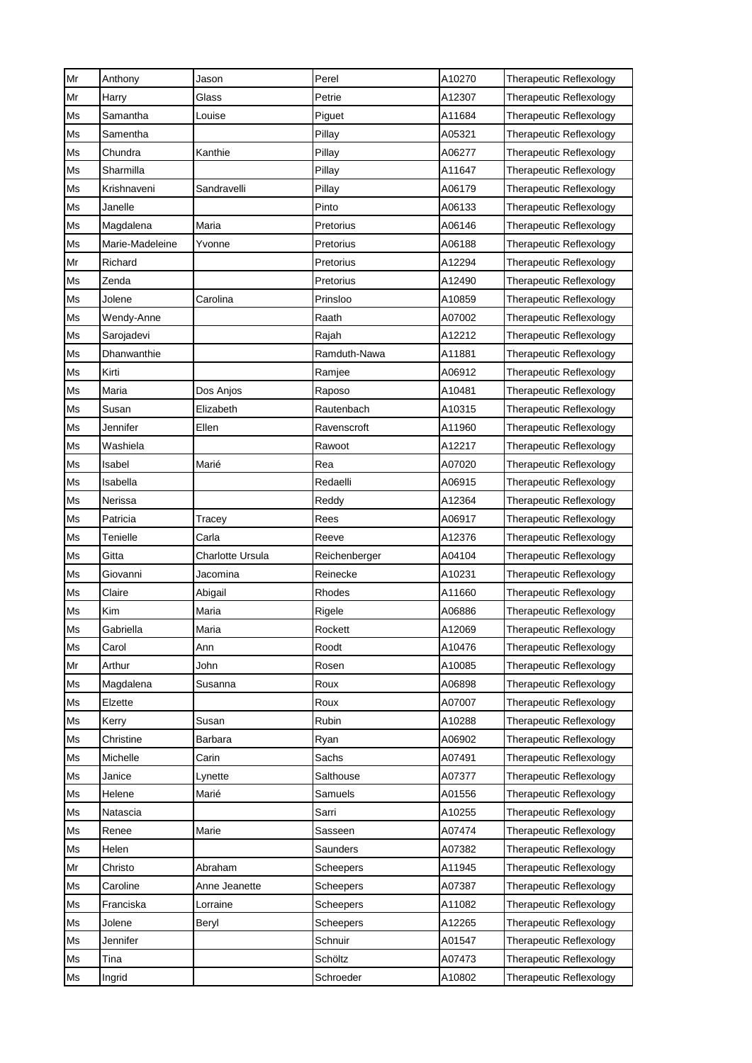| Mr | Anthony         | Jason            | Perel            | A10270 | Therapeutic Reflexology        |
|----|-----------------|------------------|------------------|--------|--------------------------------|
| Mr | Harry           | Glass            | Petrie           | A12307 | Therapeutic Reflexology        |
| Ms | Samantha        | Louise           | Piguet           | A11684 | Therapeutic Reflexology        |
| Ms | Samentha        |                  | Pillay           | A05321 | <b>Therapeutic Reflexology</b> |
| Ms | Chundra         | Kanthie          | Pillay           | A06277 | Therapeutic Reflexology        |
| Ms | Sharmilla       |                  | Pillay           | A11647 | Therapeutic Reflexology        |
| Ms | Krishnaveni     | Sandravelli      | Pillay           | A06179 | Therapeutic Reflexology        |
| Ms | Janelle         |                  | Pinto            | A06133 | Therapeutic Reflexology        |
| Ms | Magdalena       | Maria            | Pretorius        | A06146 | Therapeutic Reflexology        |
| Ms | Marie-Madeleine | Yvonne           | Pretorius        | A06188 | <b>Therapeutic Reflexology</b> |
| Mr | Richard         |                  | Pretorius        | A12294 | Therapeutic Reflexology        |
| Ms | Zenda           |                  | Pretorius        | A12490 | Therapeutic Reflexology        |
| Ms | Jolene          | Carolina         | Prinsloo         | A10859 | Therapeutic Reflexology        |
| Ms | Wendy-Anne      |                  | Raath            | A07002 | Therapeutic Reflexology        |
| Ms | Sarojadevi      |                  | Rajah            | A12212 | Therapeutic Reflexology        |
| Ms | Dhanwanthie     |                  | Ramduth-Nawa     | A11881 | Therapeutic Reflexology        |
| Ms | Kirti           |                  | Ramjee           | A06912 | <b>Therapeutic Reflexology</b> |
| Ms | Maria           | Dos Anjos        | Raposo           | A10481 | Therapeutic Reflexology        |
| Ms | Susan           | Elizabeth        | Rautenbach       | A10315 | Therapeutic Reflexology        |
| Ms | Jennifer        | Ellen            | Ravenscroft      | A11960 | Therapeutic Reflexology        |
| Ms | Washiela        |                  | Rawoot           | A12217 | Therapeutic Reflexology        |
| Ms | Isabel          | Marié            | Rea              | A07020 | Therapeutic Reflexology        |
| Ms | Isabella        |                  | Redaelli         | A06915 | Therapeutic Reflexology        |
| Ms | Nerissa         |                  | Reddy            | A12364 | Therapeutic Reflexology        |
| Ms | Patricia        | Tracey           | Rees             | A06917 | Therapeutic Reflexology        |
| Ms | Tenielle        | Carla            | Reeve            | A12376 | Therapeutic Reflexology        |
| Ms | Gitta           | Charlotte Ursula | Reichenberger    | A04104 | Therapeutic Reflexology        |
| Ms | Giovanni        | Jacomina         | Reinecke         | A10231 | Therapeutic Reflexology        |
| Ms | Claire          | Abigail          | Rhodes           | A11660 | <b>Therapeutic Reflexology</b> |
| Ms | Kim             | Maria            | Rigele           | A06886 | Therapeutic Reflexology        |
| Ms | Gabriella       | Maria            | Rockett          | A12069 | Therapeutic Reflexology        |
| Ms | Carol           | Ann              | Roodt            | A10476 | Therapeutic Reflexology        |
| Mr | Arthur          | John             | Rosen            | A10085 | <b>Therapeutic Reflexology</b> |
| Ms | Magdalena       | Susanna          | Roux             | A06898 | Therapeutic Reflexology        |
| Ms | Elzette         |                  | Roux             | A07007 | Therapeutic Reflexology        |
| Ms | Kerry           | Susan            | Rubin            | A10288 | Therapeutic Reflexology        |
| Ms | Christine       | Barbara          | Ryan             | A06902 | Therapeutic Reflexology        |
| Ms | Michelle        | Carin            | Sachs            | A07491 | Therapeutic Reflexology        |
| Ms | Janice          | Lynette          | Salthouse        | A07377 | Therapeutic Reflexology        |
| Ms | Helene          | Marié            | Samuels          | A01556 | Therapeutic Reflexology        |
| Ms | Natascia        |                  | Sarri            | A10255 | Therapeutic Reflexology        |
| Ms | Renee           | Marie            | Sasseen          | A07474 | Therapeutic Reflexology        |
| Ms | Helen           |                  | Saunders         | A07382 | Therapeutic Reflexology        |
| Mr | Christo         | Abraham          | <b>Scheepers</b> | A11945 | Therapeutic Reflexology        |
| Ms | Caroline        | Anne Jeanette    | Scheepers        | A07387 | Therapeutic Reflexology        |
| Ms | Franciska       | Lorraine         | Scheepers        | A11082 | Therapeutic Reflexology        |
| Ms | Jolene          | Beryl            | Scheepers        | A12265 | Therapeutic Reflexology        |
| Ms | Jennifer        |                  | Schnuir          | A01547 | Therapeutic Reflexology        |
| Ms | Tina            |                  | Schöltz          | A07473 | Therapeutic Reflexology        |
| Ms | Ingrid          |                  | Schroeder        | A10802 | Therapeutic Reflexology        |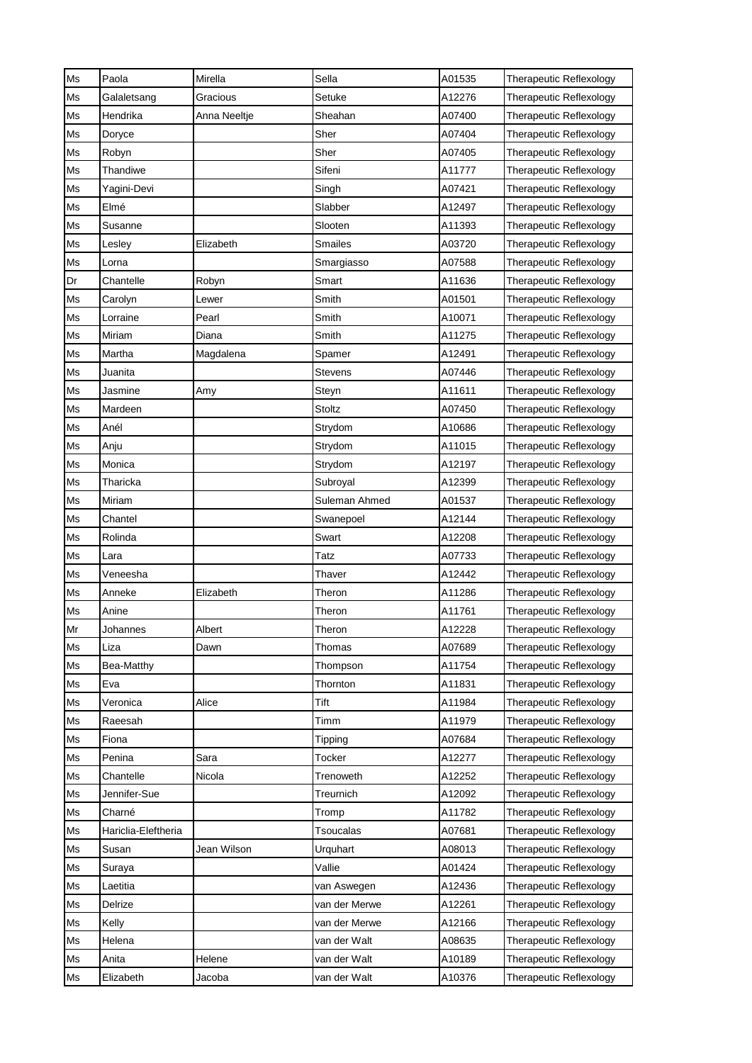| Ms | Paola               | Mirella      | Sella            | A01535 | Therapeutic Reflexology        |
|----|---------------------|--------------|------------------|--------|--------------------------------|
| Ms | Galaletsang         | Gracious     | Setuke           | A12276 | Therapeutic Reflexology        |
| Ms | Hendrika            | Anna Neeltje | Sheahan          | A07400 | Therapeutic Reflexology        |
| Ms | Doryce              |              | Sher             | A07404 | Therapeutic Reflexology        |
| Ms | Robyn               |              | Sher             | A07405 | Therapeutic Reflexology        |
| Ms | Thandiwe            |              | Sifeni           | A11777 | Therapeutic Reflexology        |
| Ms | Yagini-Devi         |              | Singh            | A07421 | Therapeutic Reflexology        |
| Ms | Elmé                |              | Slabber          | A12497 | Therapeutic Reflexology        |
| Ms | Susanne             |              | Slooten          | A11393 | Therapeutic Reflexology        |
| Ms | Lesley              | Elizabeth    | Smailes          | A03720 | Therapeutic Reflexology        |
| Ms | Lorna               |              | Smargiasso       | A07588 | Therapeutic Reflexology        |
| Dr | Chantelle           | Robyn        | Smart            | A11636 | Therapeutic Reflexology        |
| Ms | Carolyn             | Lewer        | Smith            | A01501 | Therapeutic Reflexology        |
| Ms | Lorraine            | Pearl        | Smith            | A10071 | Therapeutic Reflexology        |
| Ms | Miriam              | Diana        | Smith            | A11275 | Therapeutic Reflexology        |
| Ms | Martha              | Magdalena    | Spamer           | A12491 | Therapeutic Reflexology        |
| Ms | Juanita             |              | Stevens          | A07446 | <b>Therapeutic Reflexology</b> |
| Ms | Jasmine             | Amy          | Steyn            | A11611 | Therapeutic Reflexology        |
| Ms | Mardeen             |              | <b>Stoltz</b>    | A07450 | Therapeutic Reflexology        |
| Ms | Anél                |              | Strydom          | A10686 | Therapeutic Reflexology        |
| Ms | Anju                |              | Strydom          | A11015 | Therapeutic Reflexology        |
| Ms | Monica              |              | Strydom          | A12197 | Therapeutic Reflexology        |
| Ms | Tharicka            |              | Subroyal         | A12399 | Therapeutic Reflexology        |
| Ms | Miriam              |              | Suleman Ahmed    | A01537 | Therapeutic Reflexology        |
| Ms | Chantel             |              | Swanepoel        | A12144 | Therapeutic Reflexology        |
| Ms | Rolinda             |              | Swart            | A12208 | Therapeutic Reflexology        |
| Ms | Lara                |              | Tatz             | A07733 | Therapeutic Reflexology        |
| Ms | Veneesha            |              | Thaver           | A12442 | Therapeutic Reflexology        |
| Ms | Anneke              | Elizabeth    | Theron           | A11286 | Therapeutic Reflexology        |
| Ms | Anine               |              | Theron           | A11761 | Therapeutic Reflexology        |
| Mr | Johannes            | Albert       | Theron           | A12228 | Therapeutic Reflexology        |
| Ms | Liza                | Dawn         | Thomas           | A07689 | <b>Therapeutic Reflexology</b> |
| Ms | Bea-Matthy          |              | Thompson         | A11754 | <b>Therapeutic Reflexology</b> |
| Ms | Eva                 |              | Thornton         | A11831 | Therapeutic Reflexology        |
| Ms | Veronica            | Alice        | Tift             | A11984 | Therapeutic Reflexology        |
| Ms | Raeesah             |              | Timm             | A11979 | Therapeutic Reflexology        |
| Ms | Fiona               |              | Tipping          | A07684 | Therapeutic Reflexology        |
| Ms | Penina              | Sara         | Tocker           | A12277 | Therapeutic Reflexology        |
| Ms | Chantelle           | Nicola       | Trenoweth        | A12252 | Therapeutic Reflexology        |
| Ms | Jennifer-Sue        |              | Treurnich        | A12092 | Therapeutic Reflexology        |
| Ms | Charné              |              | Tromp            | A11782 | Therapeutic Reflexology        |
| Ms | Hariclia-Eleftheria |              | <b>Tsoucalas</b> | A07681 | Therapeutic Reflexology        |
| Ms | Susan               | Jean Wilson  | Urquhart         | A08013 | Therapeutic Reflexology        |
| Ms | Suraya              |              | Vallie           | A01424 | Therapeutic Reflexology        |
| Ms | Laetitia            |              | van Aswegen      | A12436 | Therapeutic Reflexology        |
| Ms | Delrize             |              | van der Merwe    | A12261 | Therapeutic Reflexology        |
| Ms | Kelly               |              | van der Merwe    | A12166 | Therapeutic Reflexology        |
| Ms | Helena              |              | van der Walt     | A08635 | Therapeutic Reflexology        |
| Ms | Anita               | Helene       | van der Walt     | A10189 | Therapeutic Reflexology        |
| Ms | Elizabeth           | Jacoba       | van der Walt     | A10376 | Therapeutic Reflexology        |